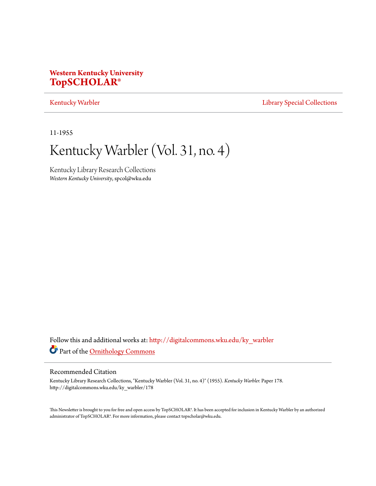# **Western Kentucky University [TopSCHOLAR®](http://digitalcommons.wku.edu?utm_source=digitalcommons.wku.edu%2Fky_warbler%2F178&utm_medium=PDF&utm_campaign=PDFCoverPages)**

[Kentucky Warbler](http://digitalcommons.wku.edu/ky_warbler?utm_source=digitalcommons.wku.edu%2Fky_warbler%2F178&utm_medium=PDF&utm_campaign=PDFCoverPages) **[Library Special Collections](http://digitalcommons.wku.edu/dlsc?utm_source=digitalcommons.wku.edu%2Fky_warbler%2F178&utm_medium=PDF&utm_campaign=PDFCoverPages)** 

11-1955

# Kentucky Warbler (Vol. 31, no. 4)

Kentucky Library Research Collections *Western Kentucky University*, spcol@wku.edu

Follow this and additional works at: [http://digitalcommons.wku.edu/ky\\_warbler](http://digitalcommons.wku.edu/ky_warbler?utm_source=digitalcommons.wku.edu%2Fky_warbler%2F178&utm_medium=PDF&utm_campaign=PDFCoverPages) Part of the [Ornithology Commons](http://network.bepress.com/hgg/discipline/1190?utm_source=digitalcommons.wku.edu%2Fky_warbler%2F178&utm_medium=PDF&utm_campaign=PDFCoverPages)

# Recommended Citation

Kentucky Library Research Collections, "Kentucky Warbler (Vol. 31, no. 4)" (1955). *Kentucky Warbler.* Paper 178. http://digitalcommons.wku.edu/ky\_warbler/178

This Newsletter is brought to you for free and open access by TopSCHOLAR®. It has been accepted for inclusion in Kentucky Warbler by an authorized administrator of TopSCHOLAR®. For more information, please contact topscholar@wku.edu.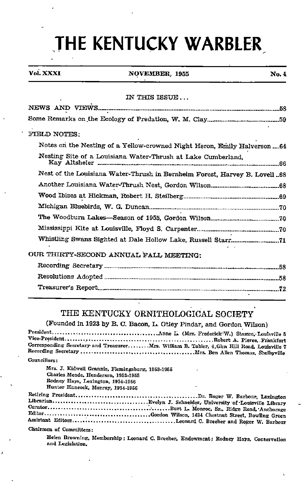# THE KENTUCKY WARBLER

# Vol. XXXI NOVEMBER, 1955 No. 4

### IN THIS ISSUE ...

| FIELD NOTES:                                                               |
|----------------------------------------------------------------------------|
| Notes on the Nesting of a Yellow-crowned Night Heron, Emily Halverson 64   |
| Nesting Site of a Louisiana Water-Thrush at Lake Cumberland.               |
| Nest of the Louisiana Water-Thrush in Bernheim Forest, Harvey B. Lovell 68 |
|                                                                            |
|                                                                            |
|                                                                            |
|                                                                            |
|                                                                            |
|                                                                            |
| OUR THIRTY-SECOND ANNUAL FALL MEETING:                                     |
|                                                                            |
|                                                                            |
|                                                                            |

# THE KENTUCKY ORNITHOLOGICAL SOCIETY

(Founded in 1923 by B. C. Bacon, L. Otiey Pindar, and Gordon Wilson)

President Anne L. (Mr?, Frederick W.) Statmn,'Louisville 6 Vice-President Robert A. Pierce. Frankfort Corresponding Secretary and Treasurer....... Mrs. William B. Tabler, 6.Glen Hill Road, Louisville 7 Recordins Secretary Mrs. Ben Allen Thomas, Sbelbyville Councillors:

Mrs. J. Kidwell Grannis, Flemingsburg, 1953-1955 Charles Meade. Henderson, 1953-1965 Rodney Hays, Lexinston, 1954-19B6 Hunter Hancock, Murray, 1954-1956

Retiring President Dr. Roger W. Barbour, Lexington Librarian Evelyn J. Schneider,-University of-Louisville Library Burt L. Monroe, Sr., Ridge Road,-Anchorage Gordon Wilson, 1434 Chestnut Street, Bowling Green Assistant Editora Leonard C. Brecber and Roger W. Barbour

Chairmen of Committees:

Helen Brovening, Membership: Leonard C.Breeher, Endowment; Rodney Hays, Conservation and Legislation.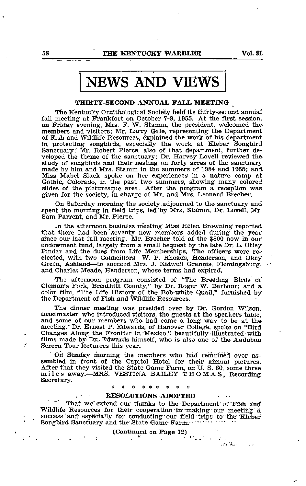# NEWS AND VIEWS

# THIRTY-SECOND ANNUAL FALL MEETING ^

The Kentucky Ornithological Society held its thirty-second annual fall meeting at Frankfort on October 7-9, 1955. At the first session, on Friday evening, Mrs. F. W. Stamm, the president, welcomed the members and visitors; Mr. Larry Gale, representing the Department of Fish and Wildlife Resources, explained the work of his department in protecting songbirds, especially the work at Kleber Songbird Sanctuary;' Mr. Robert Pierce, also of that department, further de veloped the theme of the sanctuary; Dr. Harvey Lovell reviewed the study of songbirds and their nesting on forty acres of the sanctuary made by him and Mrs. Stamm in the summers of 1954 and 1955; and Miss Mabel Slack spoke on her experiences in <sup>a</sup> nature camp at Gothic, Colorado, in the past two summers, showing many colored slides of the picturesque area. After the program a reception was given for the society, in charge of Mr. and\_ Mrs. Leonard Brecher.

On Saturday morning the society adjourned to the sanctuary and spent the morning in field trips, led "by Mrs. Stamm, Dr. Lovell, Mr. Sam Parrent, and Mr. Pierce.

In the afternoon business meeting Miss Helen Browning reported that there had been'seventy new members added during the year since our last fall meeting. Mr. Brecher told of the 5800 now in our endowment fund, largely from a small bequest by the late Dr. L. Otley Pindar and the dues from Life Memberships. The officers were reelected, with two Councillors—W. P. Rhoads, Henderson, and Okey Green, Ashland—to succeed Mrs. J. Kidwell Grannis, Flemingsburg, and Charles Meade, Henderson, whose terms had expired.

The afternoon program consisted of "The Breeding Birds df Clemon's Fork, Breathitt County," by Dr. Roger W. Barbour; and a color film, "The Life History of the Bob-white Quail," furnished by the Department of Fish and Wildlife Resources.

The dinner meeting was presided over by Dr. Gordon Wilson, toastmaster, who introduced visitors, the guests at the speakers table, and some of our members who had come <sup>a</sup> long way to be at the meeting." Dr. Ernest P. Edwards, of Hanover Colleg'e, spoke on "Bird Changes Along the Frontier in Mexico," beautifully illustrated with films made by Dr.. Edwards himself, who is also one of the Audubon Screen Tour lecturers this year.

On Sunday morning the members who had remained over assembled in front of the Capitol Hotel for their annual pictures. After that they visited the State Game Farm, on U. S. 60, some three miles away.—MRS. VESTINA BAILEY THOMAS, Recording Secretary.

#### \* \* \* \* \* \*

### RESOLUTIONS ADOPTED

1. That we extend our thanks to the Department of Fish and Wildlife Resources for their cooperation in making our meeting a success and especially for conducting our field trips to the Kleber Songbird Sanctuary and the State Game Farm.

# (Continued on Page 72)

 $\mathcal{A}(\mathcal{A}_{\mathrm{max}})$ 

 $\epsilon_{\rm eff}$  (  $\omega_{\rm eff}$  ) and (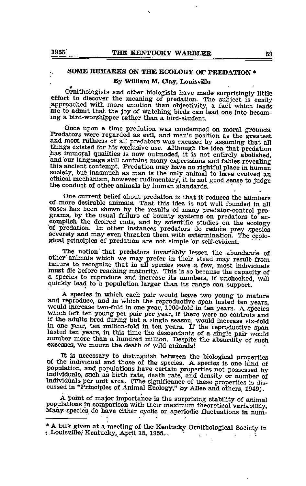# SOME REMARKS ON THE ECOLOGY OF PREDATION • By William M. Clay, Louisville

Ornithologists and other biologists have made surprisingly little effort to discover the meaning of predation. The subject is easily approached with more emotion than objectivity, a fact which leads ine to admit that the joy of watching birds can lead one into becom ing a bird-worshipper rather than a bird-student.

Once upon a time predation was condemned on moral grounds. Predators were regarded as evil, and man's position as the greatest and most ruthless of all predators was excused by assuming that all things existed for his excl has immoral qualities is now outmoded, it is not entirely abolished, and our language still contains many expressions and fables revealing this ancient contempt. Predation may have no rightful place in human society, but inasmuch as man is the only animal to have evolved an ethical mechanism, however rudimentary, it is not good sense to judge the conduct of other animals by human standards'.

One current belief about predation is that it reduces the numbers of more desirable animals. That this idea is not well founded in all cases has been shown by the results of many predator-control pro grams, by the usual failure of bounty systems on predators to ac complish the desired ends, and by scientific studies on the ecology of predation. In other instances predators do reduce prey species of predation. In other instances predators do reduce prey species severely and may even threaten them with extermination. The ecological principles of predation are not simple or self-evident

The notion that predators invariably lessen the abundance of other animals which we may prefer in their stead may result from failure to recognize that in all species save a few, most individuals must die before reaching maturity. This is so because the capacity of a species to reproduce and increase its numbers, if unchecked, will quickly lead to a population larger than its range can support.

A species in which each pair would leave two young to mature and reproduce, and in which the reproductive span lasted ten years, would increase two-fold in one year, 1000-fold in ten years. A species if the adults bred during but a single season, would increase six-fold in one year, ten million-fold in ten years. If the reproductive span lasted ten years, in this time the descendants of a single pair would lasted ten years, in this time the descendants of a single pair would number more than a hundred million. Despite the absurdity of such excesses, we mourn the death of wild animals!

It is necessary to distinguish between the biological properties of the individual and those of the species. <sup>A</sup> species is one kind of population, and populations have certain properties not possessed by individuals, such as birth rate, death rate, and density or number of Individuals per unit area. (The significance of these properties is dis cussed in "Principles of Animal Ecology," by Allee and others, 1949).

A point of major importance is the surprising stability of animal populationsin comparison with their maximum theoretical variability. Many -species do have either cyclic or aperiodic fluctuations in num-

<sup>•</sup> A talk given at a meeting of the Kentucky Ornithological Society in { Louisville; Kentucky, April 15, 1955... • $\mathbf{q} = \mathbf{q}$  .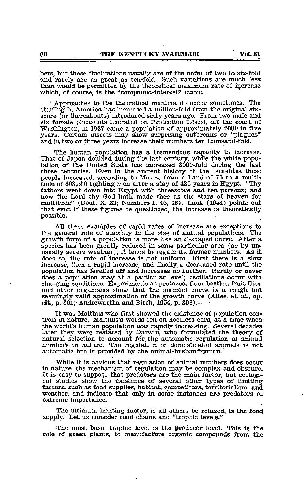bers, but these fluctuations usually are of the order of two to six-fold and rarely are as great as ten-fold. Such variations are much less than would be permitted by the theoretical maximum rate of increase which, of course, is the "compound-interest" curve.

' Approaches to the theoretical maxima do occur sometimes. The starling' in America has increased a million-fold from the original sixscore (or thereabouts) introduced sixty years ago. From two male and six female pheasants liberated on Protection Island, off the coast of Washington, in 1937 came a population of approximately 2000 in five years. Certain insects may show surprising outbreaks or "plagues" and in two or three years increase their numbers ten thousand-fold.

The human population has a tremendous capacity to increase. That of Japan doubled during the last century, while the white population of the United State has increased 3000-fold during the last three centuries. Even in the ancient history of the Israelites these people increased, according to Moses, from a band of 70 to a multitude of 603,550 fighting men after a stay of 430 years in Egypt. "Thy fathers went down into Egypt with threescore and ten persons; and now the Lord thy God hath made thee as the stars of heaven for multitude" (Deut. X. 22; Numbers 1. 45, 46). Lack (1954) points out that even if these figures be questioned, the increase is theoretically possible.

All these examples of rapid rates of increase are exceptions to the general rule of stability in the size of animal populations. The growth form of a population is more like an S-shaped curve. After a species has been greatly reduced in some particular area (as by un usually severe weather), it tends to regain its former numbers. As it does so, the rate of increase is not uniform. First there is a slow increase, then a, rapid increase, and finally a decreased rate until the population has levelled off and increases no further. Rarely or never does a population stay at a particular level; oscillations occur with changing conditions. Experiments on protozoa, flour beetles, fruit flies, and other organisms show that the sigmoid curve is a rough but seemingly valid approximation of the growth curve (Allee, et. al., op. cit., p.  $301$ ; Andrewartha and Birch,  $1954$ , p.  $396$ ).

It was Malthus who first showed the existence of population con trols in nature. Malthus's words fell on heedless ears, at <sup>a</sup> time when the world's human population was rapidly increasing. Several decades later they were restated by Darwin, who formulated the theory of natural selection to account for the automatic regulation of animal numbers in nature. The regulation of domesticated animals is not automatic but is provided by the animal-husbandryman.

While it is obvious that regulation of animal numbers does occur in nature, the mechanism of regulation may be complex and obscure. It is easy to suppose that predators are the main factor, but ecologi cal studies show the existence of several other types of limiting factors, such as food supplies, habitat, competitors, territorialism, and weather, and indicate that only in some instances are predators of extreme importance.

The ultimate limiting factor, if all others be relaxed, is the food supply. Let us consider food chains and "trophic levels."

The most basic trophic level is the producer level. This is the role of green plants, to manufacture organic compounds from the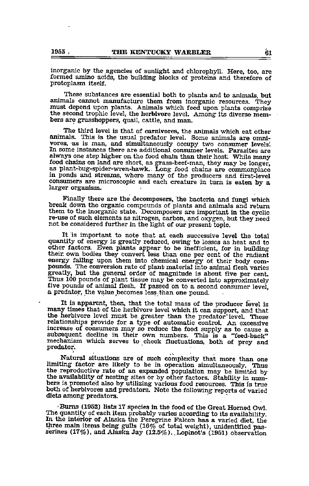inorganic by the agencies of sunlight and chlorophyll. Here, too, are formed amino acids, the building blocks of proteins and therefore of protoplasm itself.

These substances are essential both to plants and to animals, but animals cannot manufacture them from inorganic resources. They must depend upon plants. Animals which feed upon plants comprise the second trophic level, the herbivore level. Among its diverse members are grasshoppers, quail, cattle, and man.

The third level is that of carnivores, the animals which eat other animals. This is the usual predator level. Some animals are omnivores, as is man, and simultaneously occupy two consumer levels. In some instances there are additional consumer levels. Parasites are always one step higher on the food chain than their host. While many food chains on land are short, as grass-beef-man, they may be longer, as plant-bug-spider-wren-hawk.. Long food chains are commonplace in ponds and streams, where many of the producers and first-level consumers are microscopic and each creature in turn is eaten by <sup>a</sup> larger organism.

Finally there are the decomposers, the bacteria and fungi which break down the organic compounds of plants and animals and return them to the inorganic state. Decomposers are important in the cyclic re-use of such elements as nitrogen, carbon, and oxygen, but they need not be considered further in the light of our present topic.

It is important to note that at each successive level the total quantity of energy is greatly reduced, owing to losses as heat and to other factors. Even plants appear to be inefficient, for in building their own bodies they convert less than one per cent of the radiant energy falling upon them into chemical energy of their body compounds. The conversion rate of plant material into animal flesh varies greatly, but the general order of magnitude is about five per cent. Thus 100 pounds of plant tissue may be converted into approximately five pounds of animal flesh. If passed on to a second consumer level, a predator, the value becomes less than one pound.

It is apparent, then, that the total mass of the producer level is many times that of the herbivore level which it can support, and that the herbivore level must be greater than the predator level. These relationships provide for a type of automatic control. An excessive increase of consumers may so reduce the food supply as to cause a subsequent decline in their own numbers. This is a "feed-back" mechanism which serves to check fluctuations, both of prey and predator.

Natural situations are of such complexity that more than one limiting factor are likely to be in operation simultaneously. Thus the reproductive rate of an expanded population may be limited by the availability of nesting sites or by other factors. Stability in numbers is promoted also by utilizing various food resources. This is true both of herbivores and predators. Note the following reports of varied diets among predators.

Bums (1952) lists 17 species in the food of the Great Homed Owl. The quantity of each item probably varies according to its availability. In the interior of Alaska the Peregrine Falcon has a varied diet, the three main items being gulls  $(16\%$  of total weight), unidentified passerines (17%), and Alaska Jay (12.5%). Lopinot's (1951) observation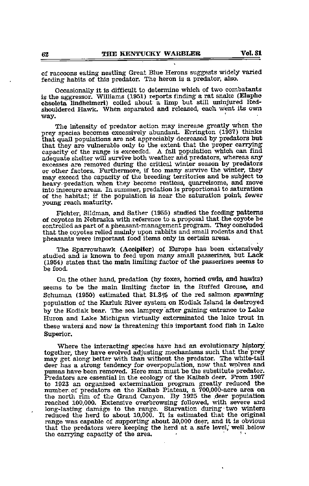of raccoons eating nestling Great Blue Herons suggests widely varied feeding habits of this predator. The heron is a predator, also.

Occasionally it is difficult to determine which of two combatants is the aggressor. Williams (1951) reports finding a rat snake (Elaphe obsoleta lindheimeri) coiled about a limp but still uninjured Redshouldered Hawk. When separated and released, each went its own way.

The intensity of predator action may increase greatly when the prey species becomes excessively abundant. Errington (1937) thinks that quail populations are not appreciably decreased by predators but capacity of the range is exceeded. A fall population which can find adequate shelter will survive both weather and predators, whereas any excesses are removed during the critical winter season by predators or other factors. Furthermore, if too many survive the winter, they may exceed the capacity of the breeding territories and be subject to heavy predation when they become restless, quarrelsome, and move into insecure areas. In summer, predation is proportional to saturation of the habitat; if the population is near the saturation point, fewer young reach maturity.

Fichter, Sildman, and Sather (1955) studied the feeding patterns of coyotes in Nebraska with reference to a proposal that the coyote be controlled as part of a pheasant-management program. They concluded that the coyotes relied mainly upon rabbits and small rodents and that pheasants were important food items only in certain areas.

The Sparrowhawk (Accipiter) of Europe has been extensively studied and is known to feed upon many small passerines, but Lack (1954) states that the main limiting factor of the passerines seems to be food.

On the other hand, predation (by foxes, horned owls, and hawks) seems to be the main limiting factor in the Ruffed Grouse, and Schuman  $(1950)$  estimated that  $31.3\%$  of the red salmon spawning population of the Karluk River system on Kodiak Island is destroyed by the Kodiak bear. The sea lamprey after gaining entrance to Lake Huron and Lake Michigan virtually exterminated the lake trout in these waters and now is threatening this important food fish in Lake Superior.

Where the interacting species have had an evolutionary history together, they have evolved adjusting mechanisms such that the prey may get along better with than without the predator. The white-tail deer has a strong tendency for overpopulation, now that wolves and pumas have been removed. Here man must be the substitute predator. Predators are essential in the ecology of the Kaibab deer. From  $1907$ to 1923 an organized extermination program greatly reduced the number of predators on the Kaibab Plateau, a 700,000-acre area on the north rim of the Grand Canyon. By 1925 the deer population reached 100,000. Extensive overbrowsing followed, with severe and long-lasting damage to the range. Starvation during two winters reduced the herd to about 10,000. It is estimated that the original range was capable of supporting about 30,000 deer, and it is obvious that the predators were keeping the herd at a safe level, well below the carrying capacity of the area.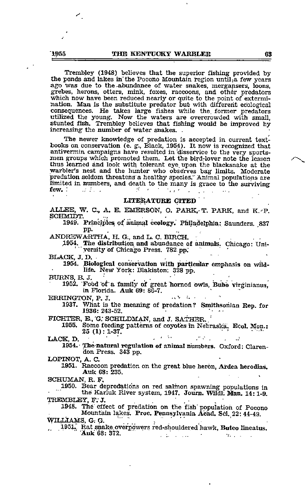Trembley (1948) believes that the superior fishing provided by the ponds and lakes in the Pocono Mountain region until, a few years ago was due to the-abundance of water snakes, mergansers, loons, grebes, herons, otters, mink, foxes, raccoons, and other predators which now have been reduced nearly or quite to the point of extermination. Man is the substitute predator but with different ecological consequences. He takes large fishes while the. former predators utilized the yoimg. Now the waters are overcrowded with small, stunted fish. Trembley believes that fishing would be improved by increasing the number of water snakes. .

The newer knowledge of predation is accepted in current text books on conservation (e. g., Black, 1954). It now is recognized that antivermin campaigns have resulted in disservice to the very sports-<br>men groups which promoted them. Let the bird-lover note the lesson thus learned and look with tolerant eye. upon the blacksnake at the warbler's nest and the hunter who observes bag limits. Moderate predation seldom threatens a healthy species." Animal populations are limited in numbers, and death to the many is grace to the surviving few.

### LITERATURE CITED

ALLEE, W. C., A. E. EMERSON, O. PARK, T. PARK, and K. P. SCHMIDT.

1949. Principles of animal ecology. Philadelphia: Saunders. 837<br>pp.

ANDREWARTHA, H. G., and L. C. BIRCH.

1954. The distribution and abundance of animals. Chicago: Uni-'yersity of Chicago Press. 782.pp.' ' '

1954. Biological conservation with particular emphasis on wildlife. New Tork: Blakiston; 328 pp.

BURNS,B.J. • . , . 1952. Fobd 'of a family of great homed owls, Bubo virginianus, in Florida. Auk 69: 86-7.

ERRINGTON, P. J.

1937. What is the meaning of predation? Smithsonian Rep. for 1936: 243-52.

FICHTER, E., G. SCHILDMAN, and J. SATHER. '<br>1955. Some feeding patterns of coyotes in Nebraska. Ecol. Mon.: 25 (1): 1-37.

LACK, D. • . • • . ' . .J 1954.- natural regulation of animal numbers. Oxford: Claren don Press. 343 pp.

LOPINOT, A. C. 1951. Raccoon predation on the great blue heron, Ardea herotlias. Auk 68: 235.

SCHUMAN, R. F.<br>1950. Bear depredations on red salmon spawning populations in the Karluk River system, 1947. Joum. Wildl; Man, 14:1-9. TREMBLEY, F.J.

1948. The effect of predation on the fish population of Pocono Mountain lakes. Proc. Pennsylvania Acad. Sci. 22: 44-49. tyiLiiAMS, G; G. '•\*.. 1951.; Rat snake ove^dwers red-shouldered hawk, Buteo lineatus.

Auk 68; 372.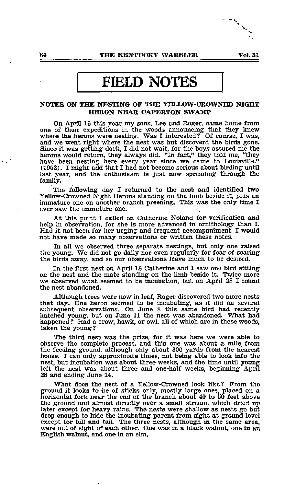# FIELD NOTES

## NOTES ON THE NESTING OF THE YELLOW-CROWNED NIGHT HERON NEAR CAPERTON SWAMP

On April 16 this year my sons, Lee and Roger, came home from one of their expeditions in the woods announcing that they knew where the herons were nesting. Was I interested? Of course, I was, and we went right where the nest was but discoverd the birds gone. Since it was getting-dark, I did not wait, for the boys assured me the herons would return, they always did. "In fact," they told me, "they have been nesting here every year since we came to Louisville." (1952). I might add that I had not become serious about birding until last year, and the enthusiasm is just now spreading through the family.

The following day I returned to the nest and identified two Yellow-Crowned Night Herons standing on the limb beside it, plus an immature one on another branch preening. This was the only time I ever saw the immature one.

At this point I called on Catherine Noland for verification and help in observation, for she is more advanced in ornithology than L Had it not been for her urging and frequent accompaniment, <sup>I</sup> would not have made so many observations or written these notes.

In all we observed three separate nestings, but only one raised the young. We did not go daily nor even regularly for fear of scaring the birds away, and so our observations leave much to be desired.

In the first nest on April 18 Catherine and I saw one bird sitting on the nest and the mate standing on the limb beside it. Twice more we observed what seemed to be incubation, but on April 28 I found the nest abandoned.

Although trees were now in leaf, Roger discovered two more nests that day. One heron seemed to be incubating, as it did on several subsequent observations. On June 8 this same bird had recently hatched young, but on June 11 the nest was abandoned. What had happened? Had a crow, hawk, or owl, all of which are in those woods, taken the young?

The third nest was the prize, for it was here we were able to observe the complete process, and this one was about a mile, from the feeding ground, although only about 300 yards from the nearest house. I can only approximate times, not being able to look into the nest, but incubation was about three weeks, and the time until young left the nest was about three and one-half weeks, beginning April 28 and ending June 14.

What does the nest of a Yellow-Crowned look like? From the groimd it looks to be of sticks only, mostly large ones, placed on a horizontal fork near the end of the branch about 40 to 50 feet above the ground and almost directly over a small stream, which dried up later except for heavy rains. The nests were shallow as nests go but deep enough to hide the incubating parent from sight at ground level except for bill and tail. The three nests, although in the same area, were out of sight of each other. One was in a black walnut, one-in an English walnut, and one in an elm.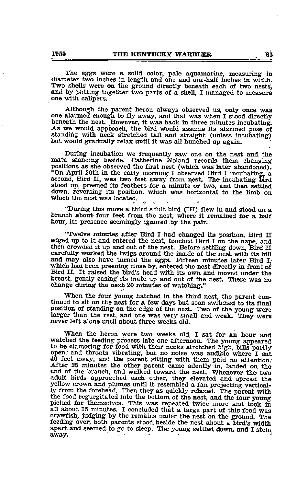The eggs were a solid color, pale aquamarine, measuring in diameter two inches in length and one and one-half inches in width. Two shells were on the ground directly beneath each of two nests, and by putting together two parts of <sup>a</sup> shell, <sup>I</sup> managed to measure one with calipers.

Although the parent heron always observed us, only once was one alarmed enough to fly away, and that was when <sup>I</sup> stood directly beneath the nest. However, it was back in three minutes incubating. As we would approach, the bird would assume its alarmed pose of standing with neck stretched tall and straight (unless incubating) but would gradually relax until it was all hunched up again.

During incubation we frequently saw one on the nest and the mate standing beside. Catherine Noland records them changing positions as she observed the first nest (which was later abandoned). "On April 20th in the early morning I observed Bird I incubating, a second, Bird II, was two feet away from nest, The incubating bird stood up, preened its feathers for a minute or two, and then settled down, reversing its position, which was horizontal to the limb on which the nest was located.

"During this move a third adult bird (IH) flew in and stood on a branch about four feet from the nest, where it remained for a half hour, its presence seemingly ignored by the pair.

"Twelve minutes after Bird I had changed its position, Bird II edged up to it and entered the nest, touched Bird I on the nape, and then crowded it up and out of the nest. Before settling down, Bird II carefully worked the twigs around the inside of the nest with its bill and may also have turned the eggs. Fifteen minutes later Bird I, which had been preening close by, entered the nest directly in front of Bird H. It raised the bird's head with its own and moved imder the breast, gently easing" its mate up and out of the nest. There was no change during the next <sup>20</sup> minutes of watching."

When the four young hatched in the third nest, the parent continued to sit on the nest for a few days but soon switched to its final position of standing on the edge of the nest. Two of the young were larger than the rest, and one was very small and weak. They were never left alone until about three weeks old.

When the heron were two weeks old, I sat for an hour and watched the feeding process late one afternoon. The young appeared to be clamoring for food with their necks stretched high, bills partly open,' and throats vibrating, but no noise was audible where I sat 40 feet away, and the parent sitting with them paid no attention. After 25 minutes the other parent came silently in, landed on the end of the branch, and walked toward the nest. Whenever the two adult birds approached each other, they elevated and spread the yellow crown and plumes until it resembled a fan projecting vertical ly from the forehead. Then they as quickly relaxed. The parent with the food regurgitated into the bottom of the nest, and the four young picked for themselves. This was repeated twice more and took in all about <sup>15</sup> minutes. <sup>I</sup> concluded that <sup>a</sup> large part of this food was crawfish, judging by the remains under the nest on the groimd. The feeding over, both parents stood beside the nest about a bird's width apart and seemed to go to sleep. The young settled down, and I stole away.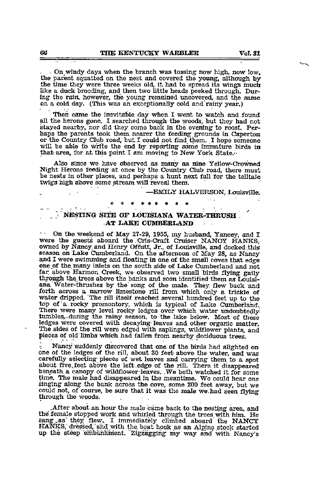• On\_windy days when the branch was tossing now high, now low, the parent squatted on the nest and covered the young, although by the time they were three weeks old, it had to spread its wings much like a duck brooding, and then two little heads peeked through. During the rain, however, the young remained uncovered, and the same on a cold day. (This was an exceptionally cold and rainy year.)

Then came the inevitable day when I went to watch and found all the herons gone. I searched through the woods, but they had not stayed nearby, nor did they come back in the evening to roost. Perhaps the parents took them nearer the feeding grounds in Caperton or the Country Club road, but I could not find them. I hope someone will be able to write the end by reporting some immature birds in that area, for at this point I am moving to New York State.-

Also since we have observed as many as nine Yellow-Crowned Night Herons feeding at once by the Country Club road, there must be nests in other places, and perhaps a hunt next fall for the telltale twigs high above some stream will reveal them.

> —EMILY HALVERSON, Louisville. ««««««««\*

# $\sim$  NESTING SITE OF LOUISIANA WATER-THRUSH . -AT LAKE CUMBERLAND

On the weekend of May 27-29, 1955, my husband, Yancey, and <sup>I</sup> were the guests aboard the .Cris-Craft Cruiser NANCY HANKS, owned by Nancy and Henry Offutt, Jr., of Louisville, and docked this season on Lake Cumberland. On the afternoon of May 28, as Nancy one of the many inlets on the south side of Lake Cumberland and not far above Harmon Creek, we observed two small birds flying gaily through the trees above the banks and soon identified them as Louisi ana Water-thrushes by the song of the male. They, flew back and forth across a narrow limestone rill from which only a trickle of water dripped. "The rill itself reached several hundred feet up to the top of a rocky promontory, which is typical of Lake Cumberland. There were many level rocky ledges over which water undoubtedly tumbles, during the rainy season, to the lake below. Most of these ledges were covered with decaying leaves and other organic matter. The sides of the rill were edged with saplings, wildflower plants, and pieces of old limhs which had fallen from nearby deciduous trees.

Nancy suddenly discovered that one of the birds had alighted on one of the ledges of the rill, about <sup>30</sup> feet above the water, and was carefully selecting pieces of wet leaves and carrying them to a spot about five feet above the left edge of the rill. There it disappeared beneath a canopy of wildflower leaves. .We both watched it for some time. The male had disappeared in the meantime. We could hear one singing along the bank across the cove, some <sup>200</sup> feet away, but we could not, of course, be sure that it was the male we.had seen flying through the woods.

After about an hour the male came back to the nesting area, and the female stopped work and whirled through the trees, with him. He sang as they flew. I immediately climbed aboard the NANCY HANKS, dressed, and with the boat hook as an Alpine stock started up the steep embankment. Zigzagging my way and with Nancy's

 $\varphi: \mathcal{R} \rightarrow \varphi$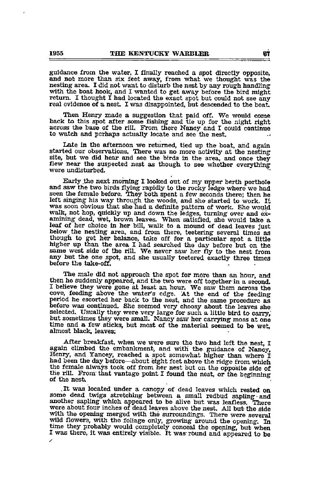guidance from the water, I finally reached a spot directly opposite, and not more than six feet away, from what we thought was the nesting area. I did not want to disturb the nest by any rough handling with the boat hook, and I wanted to get away before the bird might return. I thought I had located the exact spot but could not see any real evidence of a nest. I was disappointed, but descended to the boat.

Then Hauy made <sup>a</sup> suggestion that paid off. We would come back to this spot after some fishing and tie up for the night right across the base of the rill. From there Nancy and <sup>I</sup> could continue to watch and perhaps actually locate and see the nest.

Late in the afternoon we returned, tied up the boat, and again started our observations. There was no more activity at the nesting site, but we did hear and see the birds in the area, and once they flew near the suspected nest as though, to see whether everything were undisturbed.

Early .the next morning I looked out of my upper berth porthole and saw the two birds flying rapidly to the rocky ledge where we had seen the female before. They both spent <sup>a</sup> few seconds there; then he left singing his way through the woods, and she started to work. It was soon obvious that she had <sup>a</sup> definite pattern of work. She would walk, not hop, quickly up and down the ledges, turning over and examining dead, wet, brown leaves. When satisfied, she would take a leaf of her choice in her bill, walk to a mound of dead leaves just below the nesting area, and from there, teetering several times as though to get her balance, take off for a particular spot a little higher up than the area <sup>I</sup> had searched the day before but on the same west side of the rill. We never saw her fly to the nest from any but the one spot, and she usually teetered exactly three times before the take-off.

The male did not approach the spot for more than an hour, and then he suddenly appeared, and the two were off together in a second. I believe they were gone at least an hour. We saw them across the cove, feeding above the water's edge. At the end of the feeding period he escorted her back to the nest, and the same procedure as before was continued. She seemed very choosy about the leaves she selected. Usually they were very large for such a little bird to carry,"<br>but sometimes they were small. Nancy saw her carrying moss at one<br>time and a few sticks, but most of the material seemed to be wet, time and a few sticks, but most of the material seemed to be wet, almost black, leaves;

After breakfast, when we were sure the two had left the nest, I again climbed the embankment, and with the guidance of Nancy, Henry, and Yancey, reached <sup>a</sup> spot somewhat higher than where <sup>I</sup> had been the day before—about eight feet above the ridge from which the female always took off from her nest but on the opposite side of the rill. From that vantage point I found the nest, or the beginning of the nest.

.It was located under <sup>a</sup> canopy of dead leaves which rested on some dead twigs stretching between <sup>a</sup> small redbud sapling •and another sapling which appeared to be alive but was leafless. There were about four inches of dead leaves above the nest All but the side with the opening merged with the surroundings. There were several wild flowers, with the foliage only, growing around the opening. In time they probably would completely conceal the opening, but when I was there, it was entirely visible. It was round and appeared to be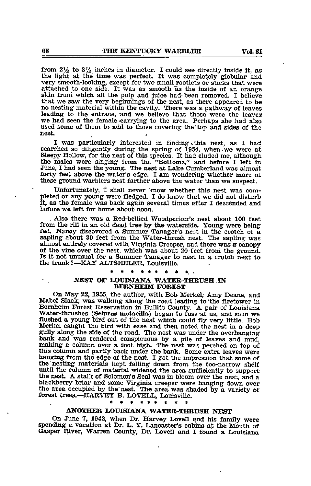from  $2\frac{1}{2}$  to  $3\frac{1}{2}$  inches in diameter. I could see directly inside it, as the light at the time was perfect. It was completely globular and very smooth-looking, except for two small rootlets or sticks that were attached to one side. It was as smooth as the inside of an orange skin froni which all the pulp and juice had- been removed. I believe that we saw the very beginnings of the nest, as there appeared to be no nesting material within the cavity. There was <sup>a</sup> pathway of leaves leading to the entrace, and we believe that those were the leaves we had seen the female carrying to the area. Perhaps she had also used some of them to add to those covering the'top and sides of the nest.

I was particularly interested in finding this nest, as I had searched so diligently during the spring of 1954, when we were at Sleepy Hollow, for the nest of this species. It had eluded me, although the males were singing from the "Bottoms," and before I left in June, I had seen the young. The nest at Lake Cumberland was almost forty feet above the water's edge. I am wondering whether more of these ground warblers nest farther above the water than we suspect.

Unfortunately, I shall never know whether this nest was com pleted or any young were fledged. I do know that we did not disturb it, as the female was back again several times after I descended and before we left for home about noon.

, Also there was a Red-bellied Woodpecker's nest about 100 feet from the rill in an old dead tree by the waterside. Young were being fed. Nancy discovered a Summer Tanager's nest in the crotch of a sapling about <sup>30</sup> feet from the Water-thrush nest. The sapling was almost entirely covered with Virginia Creeper, and there was <sup>a</sup> canopy of the vine over the nest, which was about 20 feet from the ground-Is it not xmusual for a Summer Tanager to nest in a crotch next to the trunk?—KAY ALTSHELER, Louisville.

# NEST OF LOUISIANA WATER-THRUSH IN **BERNHEIM FOREST**

On May 22, 1955, the author, with Bob Merkel,' Amy Deane, and Mabel Slack, was walking along the road leading to the firetower in Bemheim Forest Reservation in Bullitt County. A pair of Louisiana Water-thrushes (Selurus motacilla) began to fuss at us, and soon we flushed <sup>a</sup> young bird out of the nest which could fly very little. Bob Merkel caught the bird with ease and then noted the nest in a deep gully along the side of the road. The nest was under the overhanging bank and was rendered conspicuous by a pile of leaves and mud, making a column over a foot high. The nest was perched on top of this column and partly back under the bank. Some extra leaves were hanging from the edge of the nest. I got the impression that some of the nesting materials kept falling down from the too-narrow shelf until the column of material widened the area sufficiently to support the nest. A stalk of Solomon's Seal was in bloom over the nest, and a blackberry briar and some Virginia creeper were hanging down over the area occupied by the nest. The area was shaded by a variety of forest trees.—HARVEJY B. LOVBLL, Louisville.

#### $\bullet$

## ANOTHER LOUISIANA WATER-THRUSH NEST

On June 7, 1942, when Dr. Harvey Lovell and his family were spending <sup>a</sup> vacation at Dr. L. Y. Lancaster's cabins at the Mouth of Gasper River, Warren County, Dr. Lovell and I found a Louisiana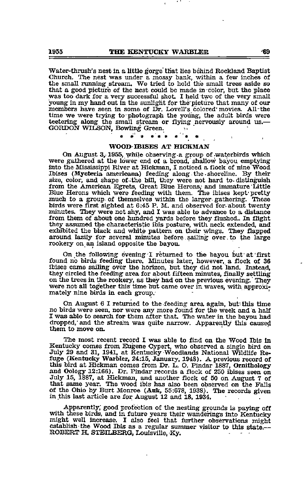Water-thrush's nest in a little gorge that lies behind Rockland Baptist Church. The nest was under a mossy bank, within a few inches of the small running stream. We tried to hold the small trees aside so that a good picture of the nest could be made in color, but the place was too dark for a very successful shot. I held two of the very small young in my hand out in the sunlight for the'picture that many of our members have seen in some of Dr. Lovell's colored'movies. All-the members have seen in some of Dr. Lovell's colored movies. All the time we were trying to photograph the young, the adult birds were teetering along the small stream or flying nervously around us.— GORDON WILSON, Bowling Green.

### WOOD IBISES AT HICKMAN

 $\bullet$ 

On August 3, 1955, while observing a group of waterbirds which were gathered at the lower end of <sup>a</sup> broad, shallow bayou emptying into the Mississippi River at Hickman, <sup>I</sup> noticed <sup>a</sup> flock of nine Wood Ibises (Mycteria amerioana) feeding along -the •shoreline. By their size, color, and shape of-the bill, they were not hard to- distinguish from the American Egrets, Great Blue Herons, and immature Little Blue Herons which were feeding with them. The ibises kept'pretty much to a group of themselves within the larger gathering. These birds were first sighted at 6:45 P. M. and observed for-about twenty minutes. They were not shy, and I was able to advance to a distance from them of about one hundred yards before they flushed.. In flight they assumed the characteristic ibis posture, with neck extended, and exhibited the black and white pattern on their wings. They flapped around lazily for several minutes before sailing over, to the large rookery on an island opposite the bayou.

On the following evening I returned to the bayou but at first found no birds feeding there. Minutes later, however, a flock of 36 ibises came sailing over the horizon, but they did not l^d. Instead, they circled the feeding area for about fifteen minutes, finally settling on the trees in the rookery, as they had on the previous evening. They were not all together this time but came over in waves, with approxi mately nine birds in each group. '

On August 6 I returned to the feeding area again, but- this time no birds were seen, nor were any more found for the week and <sup>a</sup> half I was able to search for them after that. The water in the bayou had dropped, and the stream was quite narrow. Apparently this caused them to move on.

The most recent record I was able to find on the Wood Ibis in Kentucky comes from Eugene Cypert, who observed <sup>a</sup> single bird on July <sup>29</sup> and 31, 1941, at Kentucky Woodlands National Wildlife Re fuge (Kentucky Warbler, 24:15, January, 1948). A previous record of this bird at Hickman comes from Dr. L. O. Pindar 1887, Ornithology and Oology 12:166). Dr. Pindar records a flock of 250 ibises seen on July 15, 1887, at Hickman, and another flock of 50 on August 7 of that same year. The wood ibis has also been observed on the Falls of the Ohio by Burt Monroe (Auk, 55:678, 1938). The records given in this last article are for August 12 and 18, 1934.

Apparently; good protection of the nesting grounds is paying off with these birds, and in future years their wanderings into Kentucky might well increase. I also feel that further observations might establish the Wood Ibis as a regular summer visitor to this state.— ROBERT H. STEILBERG, Louisville, Ky.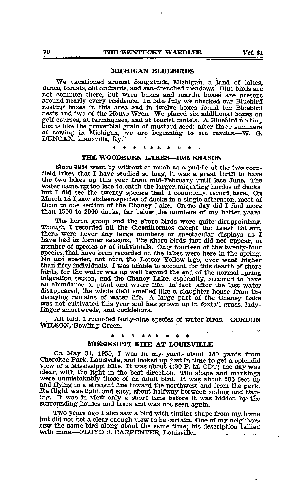### MICHIGAN BLUEBIRDS

We vacationed around Saugatuck, Michigan, a land of. lakes, dimes, forests, old orchards, and sim-drenched meadows. Blue birds are not common there, but wren boxes arid martin boxes are present around nearly every residence. In late July we checked our Bluebird nesting boxes in this area and in twelve boxes found ten Bluebird nests and two of the House Wren. We placed six additional boxes on golf courses, at farmhouses, and at tourist motels. <sup>A</sup> Bluebird nesting golf courses, at farmhouses, and at tourist motels. A Bluebird nesting box is like the proverbial grain of mustard seed: after three summers of sowing in Michigan, we are beginning to see results.-- W. G. DUNCAN, LouisviUe, Ky." - ' ««. ft.

#### ※ ●

# THE WOODBURN LAKES-1955 SEASON

Since 1954 went by without so much as a puddle at the two corn-<br>field lakes that I have studied so long, it was a great thrill to have the two lakes up this year from mid-February until late June. The water came up too late to catch the larger migrating hordes of ducks, but I did see the twenty species that I commonly record here. On March 18 I saw sixteen-species of ducks in a single afternoon, most of them in one section of the Chaney Lake. On no day did I find more than 1500 to 2000 ducks, far below the numbers of my better years.

The heron group and the shore birds were quite disappointing. Though, I recorded all the Ciconiiformes except the Least Bittern, there were never any large numbers or spectacular displays as I have had in former seasons. The shore birds just did not appear, in number of species or of individuals. Only fourteen of the'twenty-four species that have been recorded on the lakes were here in the spring. No one species, not even the Lesser Yellow-legs, ever went higher than fifty individuals. I was unable to account for this dearth of shore birds, for the water was up well beyond the end of the normal spring migration season, and the Chaney Lake, especially, seeemed to have an abundance of plant and water life, to'fact, after the last water disappeared, the whole field smelled like a slaughter house from the decaying remains of water life, A large part of the Chaney Lake was not cultivated this year and has grrown up in foxtail grass, ladyfinger smartweeds, and cockleburs.

, All told, I recorded forty-nine species of water birds.—GORDON WILSON,"Bowling Green.

# ب:<br><mark>\*</mark> \* \* \* \* \* \* \* \*

## MISSISSIPPI KITE AT LOUISVILLE

On May 31, 1955, I was in my- yard,- about 150 yards- from Cherokee Park, Louisville, and looked up just in time to get a splendid<br>view of a Mississippi Kite. It was about 4:30 P. M. CDT; the day was clear, with the light in the best direction. The shape and markings were unmistakably those of an adult bird. It was about 500 feet up and flying in a straight line toward the northwest and from the park. Its flight was light and easy, about halfway between sailing and flap-<br>ing. It was in view only a short time before it was hidden by- the surrounding houses and trees and was not seen again.

Two years ago I also saw a bird with similar shape from my home<br>but did not get a clear enough view to be certain. One of my neighbors<br>saw the same bird along about the same time; his description tallied with mine.—FLOYD S. CARPENTER, Louisville.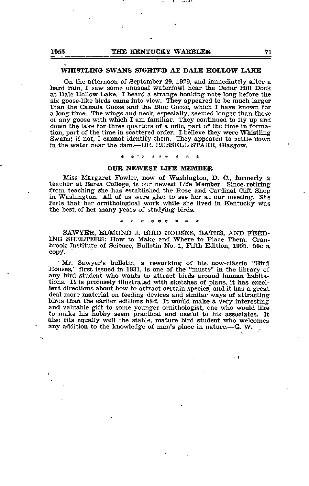## WHISTLING SWANS SIGHTED AT DALE HOLLOW LAKE

On the afternoon of September 29, 1929, and immediately after a hard rain, I saw some unusual waterfowl near the Cedar Hill Dock at Dale Hollow Lake. <sup>I</sup> heard <sup>a</sup> strange honking note long before the six goose-like birds came into view. They appeared to be much larger than the Canada Goose and the Blue Goose, which I have known for a long time. The wings and neck, especially, seemed longer than those of any goose with which I am familiar. They continued to fly up and down the lake for three quarters of a mile, part of the time in forma tion, part of the time in scattered order. I believe they were Whistling Swans; if not, I cannot identify them. They appeared to settle down in the water near the dam.—DR. RUSSELL STARR, Glasgow.

« - a=' \* \* « f \* \*

### OUR NEWEST LIFE MEMBER

Miss Margaret Fowler, now of Washington, D. C., formerly a teacher at Berea College, is our newest Life Member. Since- retiring from teaching she has established the Rose and Cardinal Gift Shop in Washington. All of us were glad to see her at our meeting. She feels that her ornithological work while she lived in Kentucky Was the best, of her many years of studying birds.

SAWYER. EDMUND J. BIRD HOUSES, BATHS, AND FEED ING SHELTERS: How to Make and Where to Place Them. Cranbrook Institute of Science, Bulletin No. 1, Fifth Edition, 1955. 50c a copy.

' Mr. Sawyer's bulletin, a reworking of his now-classic "Bird Houses," first issued in 1931, is one of the "musts" in the library of any bird student who wants to attract birds around human habita tions. It is profusely illustrated with sketches of plans, it has excel lent directions about how to attract certain species, and it has a great deal more material on feeding devices and similar ways of attracting birds than the earlier editions had. It wOiild make a very interesting and valuable gift to some younger ornithologist, one who would like to make his hobby seem practical and useful to his associates. It also fits equally well the stable, mature bird student who welcomes any addition to the knowledge of man's place in nature.—G. W.

 $\gamma$  , and  $\gamma$